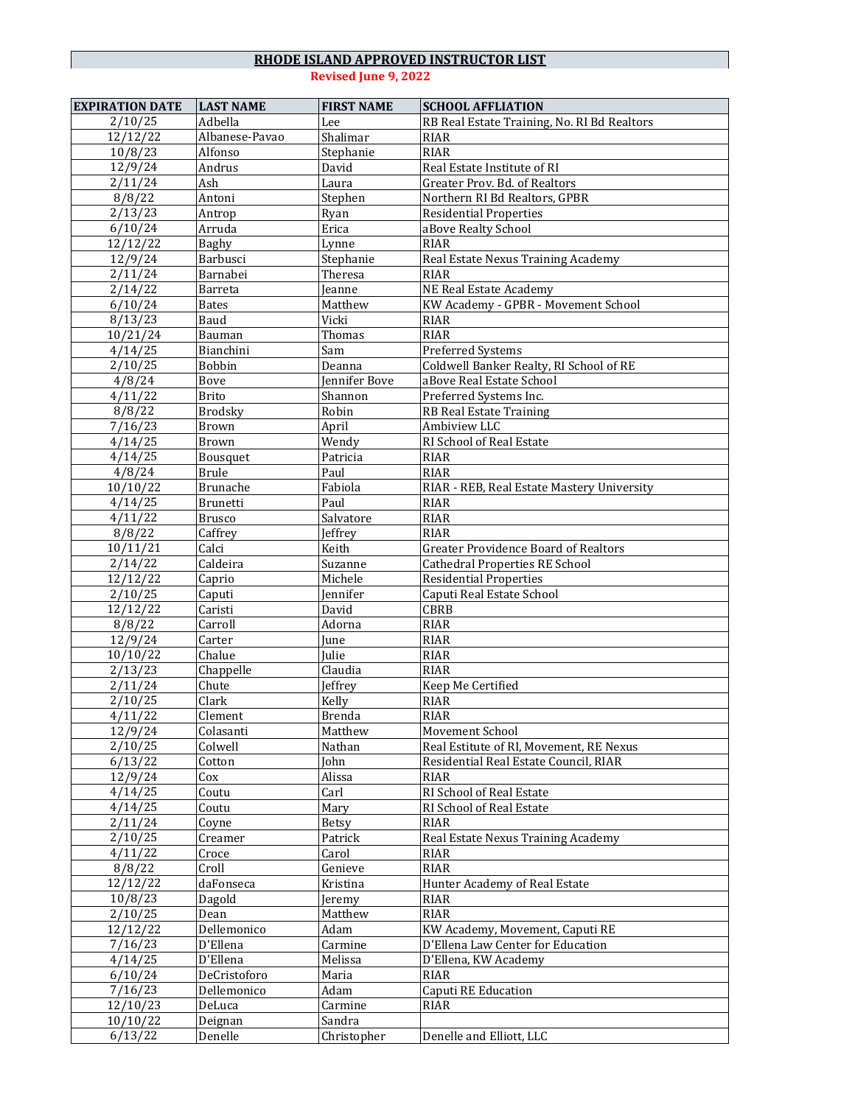| <b>EXPIRATION DATE</b> | <b>LAST NAME</b> | <b>FIRST NAME</b> | <b>SCHOOL AFFLIATION</b>                    |
|------------------------|------------------|-------------------|---------------------------------------------|
| 2/10/25                | Adbella          | Lee               | RB Real Estate Training, No. RI Bd Realtors |
| 12/12/22               | Albanese-Pavao   | Shalimar          | RIAR                                        |
| 10/8/23                | Alfonso          | Stephanie         | <b>RIAR</b>                                 |
| 12/9/24                | Andrus           | David             | Real Estate Institute of RI                 |
| 2/11/24                | Ash              | Laura             | Greater Prov. Bd. of Realtors               |
| 8/8/22                 | Antoni           | Stephen           | Northern RI Bd Realtors, GPBR               |
| 2/13/23                | Antrop           | Ryan              | <b>Residential Properties</b>               |
| 6/10/24                | Arruda           | Erica             | aBove Realty School                         |
| 12/12/22               | Baghy            | Lynne             | <b>RIAR</b>                                 |
| 12/9/24                | Barbusci         | Stephanie         | Real Estate Nexus Training Academy          |
| 2/11/24                | Barnabei         | Theresa           | <b>RIAR</b>                                 |
| 2/14/22                | Barreta          | Jeanne            | NE Real Estate Academy                      |
| 6/10/24                | <b>Bates</b>     | Matthew           | KW Academy - GPBR - Movement School         |
| 8/13/23                | Baud             | Vicki             | <b>RIAR</b>                                 |
| 10/21/24               | Bauman           | Thomas            | <b>RIAR</b>                                 |
| 4/14/25                | Bianchini        | Sam               | Preferred Systems                           |
| 2/10/25                | Bobbin           | Deanna            | Coldwell Banker Realty, RI School of RE     |
| $\frac{1}{4}/8/24$     | Bove             | Jennifer Bove     | aBove Real Estate School                    |
| 4/11/22                | <b>Brito</b>     | Shannon           | Preferred Systems Inc.                      |
| 8/8/22                 | <b>Brodsky</b>   | Robin             | RB Real Estate Training                     |
| 7/16/23                | Brown            | April             | Ambiview LLC                                |
| 4/14/25                | Brown            | Wendy             | RI School of Real Estate                    |
| 4/14/25                | Bousquet         | Patricia          | <b>RIAR</b>                                 |
| 4/8/24                 | <b>Brule</b>     | Paul              | <b>RIAR</b>                                 |
| 10/10/22               | Brunache         | Fabiola           | RIAR - REB, Real Estate Mastery University  |
| 4/14/25                | <b>Brunetti</b>  | Paul              | RIAR                                        |
| 4/11/22                | <b>Brusco</b>    | Salvatore         | <b>RIAR</b>                                 |
| 8/8/22                 | Caffrey          | Jeffrey           | <b>RIAR</b>                                 |
| 10/11/21               | Calci            | Keith             | <b>Greater Providence Board of Realtors</b> |
| 2/14/22                | Caldeira         | Suzanne           | <b>Cathedral Properties RE School</b>       |
| 12/12/22               | Caprio           | Michele           | <b>Residential Properties</b>               |
| 2/10/25                | Caputi           | Jennifer          | Caputi Real Estate School                   |
| 12/12/22               | Caristi          | David             | <b>CBRB</b>                                 |
| 8/8/22                 | Carroll          | Adorna            | <b>RIAR</b>                                 |
| 12/9/24                | Carter           | June              | <b>RIAR</b>                                 |
| 10/10/22               | Chalue           | Julie             | <b>RIAR</b>                                 |
| 2/13/23                | Chappelle        | Claudia           | <b>RIAR</b>                                 |
| 2/11/24                | Chute            | Jeffrey           | Keep Me Certified                           |
| 2/10/25                | Clark            | Kelly             | <b>RIAR</b>                                 |
| 4/11/22                | Clement          | <b>Brenda</b>     | <b>RIAR</b>                                 |
| 12/9/24                | Colasanti        | Matthew           | <b>Movement School</b>                      |
| 2/10/25                | Colwell          | Nathan            | Real Estitute of RI, Movement, RE Nexus     |
| 6/13/22                | Cotton           | John              | Residential Real Estate Council, RIAR       |
| 12/9/24                | Cox              | Alissa            | RIAR                                        |
| 4/14/25                | Coutu            | Carl              | RI School of Real Estate                    |
| 4/14/25                | Coutu            | Mary              | RI School of Real Estate                    |
| 2/11/24                | Coyne            | Betsy             | <b>RIAR</b>                                 |
| 2/10/25                | Creamer          | Patrick           | Real Estate Nexus Training Academy          |
| 4/11/22                | Croce            | Carol             | <b>RIAR</b>                                 |
| 8/8/22                 | Croll            | Genieve           | RIAR                                        |
| 12/12/22               | daFonseca        | Kristina          | Hunter Academy of Real Estate               |
| 10/8/23                | Dagold           | Jeremy            | <b>RIAR</b>                                 |
| 2/10/25                | Dean             | Matthew           | <b>RIAR</b>                                 |
| 12/12/22               | Dellemonico      | Adam              | KW Academy, Movement, Caputi RE             |
| 7/16/23                | D'Ellena         | Carmine           | D'Ellena Law Center for Education           |
| 4/14/25                | D'Ellena         | Melissa           | D'Ellena, KW Academy                        |
| 6/10/24                | DeCristoforo     | Maria             | RIAR                                        |
| 7/16/23                | Dellemonico      | Adam              | Caputi RE Education                         |
| 12/10/23               | DeLuca           | Carmine           | <b>RIAR</b>                                 |
| 10/10/22               | Deignan          | Sandra            |                                             |
| 6/13/22                | Denelle          | Christopher       | Denelle and Elliott, LLC                    |
|                        |                  |                   |                                             |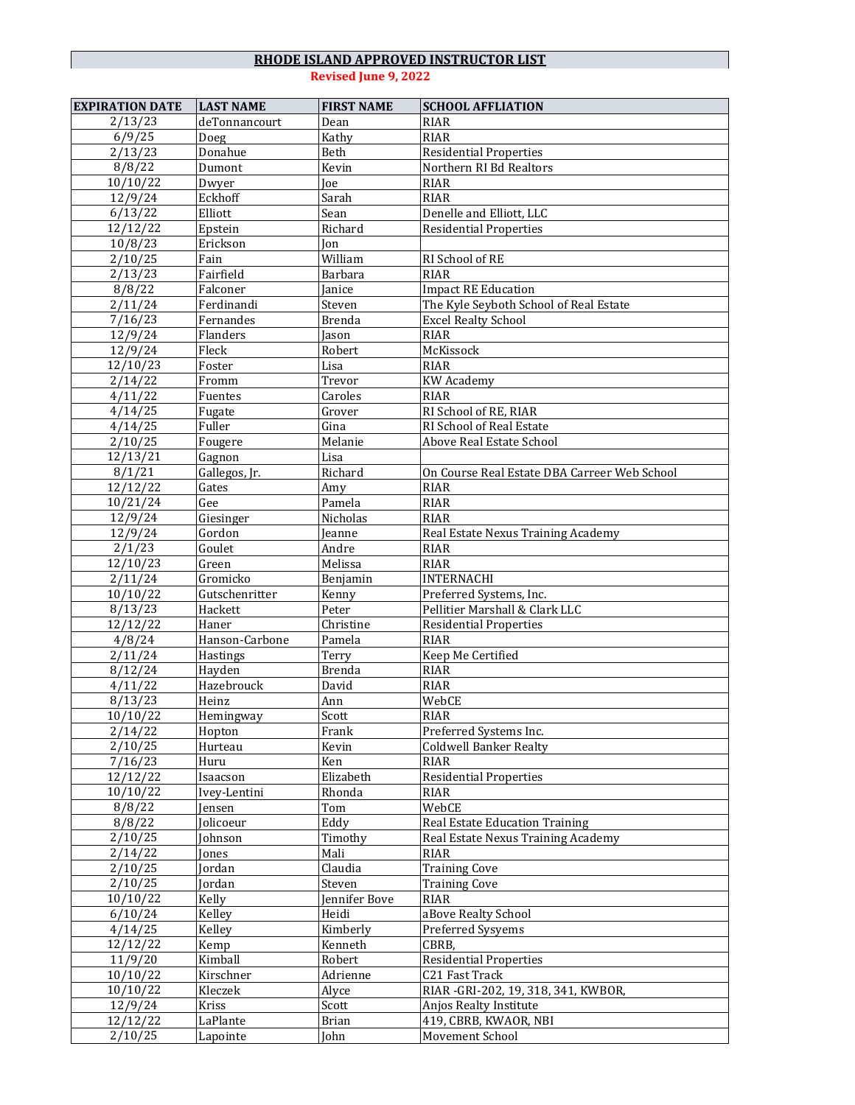| <b>EXPIRATION DATE</b> | <b>LAST NAME</b> | <b>FIRST NAME</b>           | <b>SCHOOL AFFLIATION</b>                     |
|------------------------|------------------|-----------------------------|----------------------------------------------|
| 2/13/23                | deTonnancourt    | Dean                        | <b>RIAR</b>                                  |
| 6/9/25                 | Doeg             | Kathy                       | <b>RIAR</b>                                  |
| 2/13/23                | Donahue          | Beth                        | <b>Residential Properties</b>                |
| 8/8/22                 | Dumont           | Kevin                       | Northern RI Bd Realtors                      |
| 10/10/22               | Dwyer            | Joe                         | <b>RIAR</b>                                  |
| 12/9/24                | Eckhoff          | Sarah                       | <b>RIAR</b>                                  |
| 6/13/22                | Elliott          | Sean                        | Denelle and Elliott, LLC                     |
| 12/12/22               | Epstein          | Richard                     | <b>Residential Properties</b>                |
| 10/8/23                | Erickson         | Ion                         |                                              |
| 2/10/25                | Fain             | $\overline{\text{William}}$ | RI School of RE                              |
| 2/13/23                | Fairfield        | Barbara                     | <b>RIAR</b>                                  |
| 8/8/22                 | Falconer         | Janice                      | <b>Impact RE Education</b>                   |
| 2/11/24                | Ferdinandi       | Steven                      | The Kyle Seyboth School of Real Estate       |
| 7/16/23                | Fernandes        | <b>Brenda</b>               | <b>Excel Realty School</b>                   |
| 12/9/24                | Flanders         | Jason                       | <b>RIAR</b>                                  |
| 12/9/24                | Fleck            | Robert                      | McKissock                                    |
| 12/10/23               | Foster           | Lisa                        | <b>RIAR</b>                                  |
| 2/14/22                | Fromm            | Trevor                      | <b>KW</b> Academy                            |
| 4/11/22                | Fuentes          | Caroles                     | RIAR                                         |
| 4/14/25                | Fugate           | Grover                      | RI School of RE, RIAR                        |
| 4/14/25                | Fuller           | Gina                        | RI School of Real Estate                     |
| 2/10/25                |                  | Melanie                     | Above Real Estate School                     |
| $\frac{1}{2}/13/21$    | Fougere          | Lisa                        |                                              |
|                        | Gagnon           | Richard                     |                                              |
| 8/1/21                 | Gallegos, Jr.    |                             | On Course Real Estate DBA Carreer Web School |
| 12/12/22               | Gates            | Amy                         | <b>RIAR</b>                                  |
| 10/21/24               | Gee              | Pamela                      | <b>RIAR</b>                                  |
| 12/9/24                | Giesinger        | Nicholas                    | RIAR                                         |
| 12/9/24                | Gordon           | Jeanne                      | Real Estate Nexus Training Academy           |
| 2/1/23                 | Goulet           | Andre                       | <b>RIAR</b>                                  |
| 12/10/23               | Green            | Melissa                     | <b>RIAR</b>                                  |
| 2/11/24                | Gromicko         | Benjamin                    | <b>INTERNACHI</b>                            |
| 10/10/22               | Gutschenritter   | Kenny                       | Preferred Systems, Inc.                      |
| 8/13/23                | Hackett          | Peter                       | Pellitier Marshall & Clark LLC               |
| 12/12/22               | Haner            | Christine                   | <b>Residential Properties</b>                |
| 4/8/24                 | Hanson-Carbone   | Pamela                      | <b>RIAR</b>                                  |
| 2/11/24                | Hastings         | Terry                       | Keep Me Certified                            |
| 8/12/24                | Hayden           | <b>Brenda</b>               | <b>RIAR</b>                                  |
| 4/11/22                | Hazebrouck       | David                       | <b>RIAR</b>                                  |
| 8/13/23                | Heinz            | Ann                         | WebCE                                        |
| 10/10/22               | Hemingway        | Scott                       | <b>RIAR</b>                                  |
| 2/14/22                | Hopton           | Frank                       | Preferred Systems Inc.                       |
| 2/10/25                | Hurteau          | Kevin                       | <b>Coldwell Banker Realty</b>                |
| 7/16/23                | Huru             | Ken                         | RIAR                                         |
| 12/12/22               | Isaacson         | Elizabeth                   | <b>Residential Properties</b>                |
| 10/10/22               | Ivey-Lentini     | Rhonda                      | <b>RIAR</b>                                  |
| 8/8/22                 | Jensen           | Tom                         | WebCE                                        |
| 8/8/22                 | Jolicoeur        | Eddy                        | Real Estate Education Training               |
| 2/10/25                | Johnson          | Timothy                     | Real Estate Nexus Training Academy           |
| 2/14/22                | Jones            | Mali                        | <b>RIAR</b>                                  |
| 2/10/25                | Jordan           | Claudia                     | <b>Training Cove</b>                         |
| 2/10/25                | Jordan           | Steven                      | <b>Training Cove</b>                         |
| 10/10/22               | Kelly            | Jennifer Bove               | <b>RIAR</b>                                  |
| 6/10/24                | Kelley           | Heidi                       | aBove Realty School                          |
| 4/14/25                | Kelley           | Kimberly                    | Preferred Sysyems                            |
| 12/12/22               | Kemp             | Kenneth                     | CBRB,                                        |
| 11/9/20                | Kimball          | Robert                      | <b>Residential Properties</b>                |
| 10/10/22               | Kirschner        | Adrienne                    | C21 Fast Track                               |
| 10/10/22               | Kleczek          | Alyce                       | RIAR - GRI-202, 19, 318, 341, KWBOR,         |
| 12/9/24                | Kriss            | Scott                       | Anjos Realty Institute                       |
| 12/12/22               | LaPlante         | <b>Brian</b>                | 419, CBRB, KWAOR, NBI                        |
| 2/10/25                | Lapointe         | John                        | Movement School                              |
|                        |                  |                             |                                              |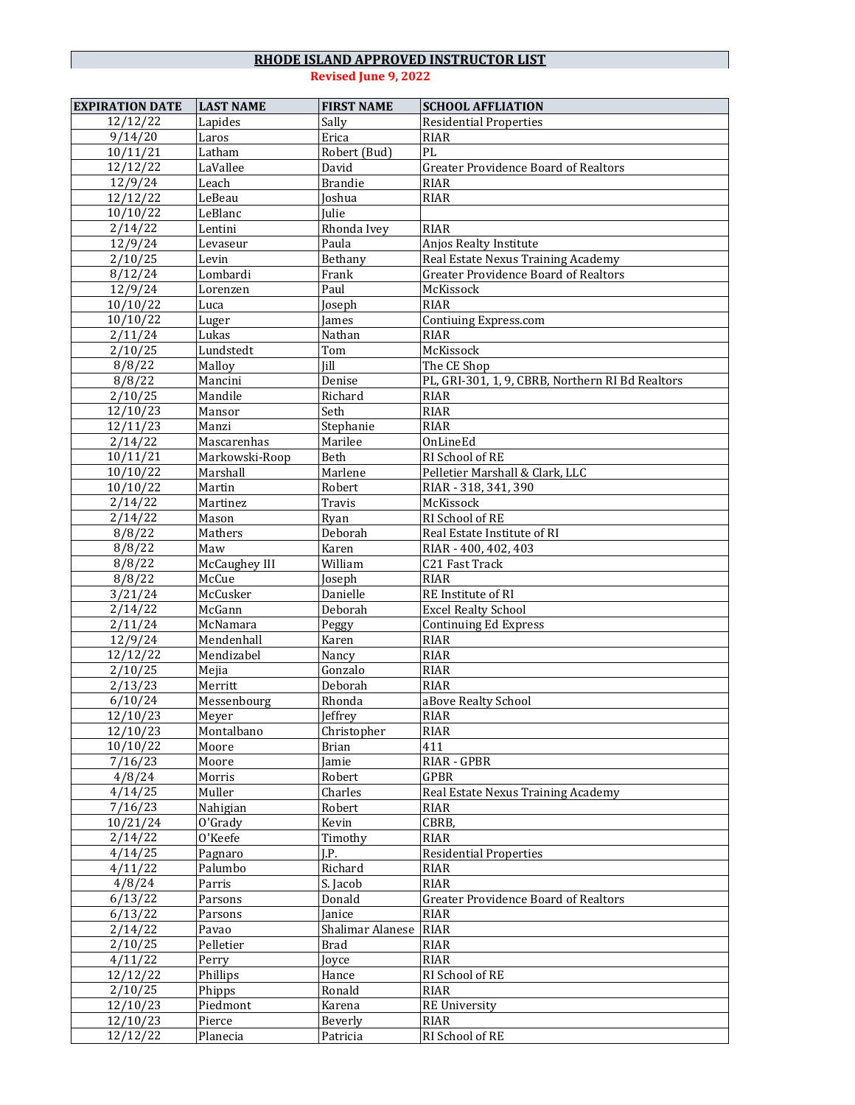| <b>EXPIRATION DATE</b> | <b>LAST NAME</b>   | <b>FIRST NAME</b>   | <b>SCHOOL AFFLIATION</b>                         |
|------------------------|--------------------|---------------------|--------------------------------------------------|
| 12/12/22               | Lapides            | Sally               | <b>Residential Properties</b>                    |
| 9/14/20                | Laros              | Erica               | <b>RIAR</b>                                      |
| 10/11/21               | Latham             | Robert (Bud)        | PL                                               |
| 12/12/22               | LaVallee           | David               | <b>Greater Providence Board of Realtors</b>      |
| 12/9/24                | Leach              | <b>Brandie</b>      | <b>RIAR</b>                                      |
| 12/12/22               | LeBeau             | Joshua              | <b>RIAR</b>                                      |
| 10/10/22               | LeBlanc            | Iulie               |                                                  |
| 2/14/22                | Lentini            | Rhonda Ivey         | <b>RIAR</b>                                      |
| 12/9/24                | Levaseur           | Paula               | Anjos Realty Institute                           |
| 2/10/25                | Levin              | Bethany             | Real Estate Nexus Training Academy               |
| 8/12/24                | Lombardi           | Frank               | <b>Greater Providence Board of Realtors</b>      |
| 12/9/24                | Lorenzen           | Paul                | McKissock                                        |
| 10/10/22               | Luca               | Joseph              | <b>RIAR</b>                                      |
| 10/10/22               | Luger              | James               | Contiuing Express.com                            |
| 2/11/24                | Lukas              | Nathan              | <b>RIAR</b>                                      |
| 2/10/25                | Lundstedt          | Tom                 | McKissock                                        |
| 8/8/22                 | Malloy             | <b>Iill</b>         | The CE Shop                                      |
| 8/8/22                 | Mancini            | Denise              | PL, GRI-301, 1, 9, CBRB, Northern RI Bd Realtors |
| 2/10/25                | Mandile            | Richard             | <b>RIAR</b>                                      |
| 12/10/23               | Mansor             | Seth                | <b>RIAR</b>                                      |
| 12/11/23               | Manzi              | Stephanie           | <b>RIAR</b>                                      |
| 2/14/22                | Mascarenhas        | Marilee             | OnLineEd                                         |
| 10/11/21               | Markowski-Roop     | Beth                | RI School of RE                                  |
| 10/10/22               | Marshall           | Marlene             | Pelletier Marshall & Clark, LLC                  |
| 10/10/22               | Martin             | Robert              | RIAR - 318, 341, 390                             |
| 2/14/22                | Martinez           | Travis              | McKissock                                        |
| 2/14/22                | Mason              |                     | RI School of RE                                  |
| 8/8/22                 | Mathers            | Ryan<br>Deborah     | Real Estate Institute of RI                      |
| 8/8/22                 | Maw                | Karen               |                                                  |
|                        | McCaughey III      | William             | RIAR - 400, 402, 403<br>C21 Fast Track           |
| 8/8/22                 | McCue              |                     | <b>RIAR</b>                                      |
| 8/8/22                 |                    | Joseph              |                                                  |
| 3/21/24<br>2/14/22     | McCusker<br>McGann | Danielle<br>Deborah | RE Institute of RI<br><b>Excel Realty School</b> |
| 2/11/24                | McNamara           |                     | <b>Continuing Ed Express</b>                     |
| 12/9/24                | Mendenhall         | Peggy<br>Karen      | <b>RIAR</b>                                      |
| 12/12/22               | Mendizabel         | Nancy               | <b>RIAR</b>                                      |
|                        | Mejia              | Gonzalo             | <b>RIAR</b>                                      |
| 2/10/25                | Merritt            | Deborah             | <b>RIAR</b>                                      |
| 2/13/23                |                    |                     |                                                  |
| 6/10/24                | Messenbourg        | Rhonda              | aBove Realty School                              |
| 12/10/23               | Meyer              | Jeffrey             | <b>RIAR</b>                                      |
| 12/10/23               | Montalbano         | Christopher         | RIAR                                             |
| 10/10/22               | Moore              | <b>Brian</b>        | 411                                              |
| 7/16/23<br>4/8/24      | Moore              | Jamie               | RIAR - GPBR                                      |
|                        | Morris             | Robert              | GPBR                                             |
| 4/14/25                | Muller             | Charles             | Real Estate Nexus Training Academy               |
| 7/16/23                | Nahigian           | Robert              | RIAR                                             |
| 10/21/24               | O'Grady            | Kevin               | CBRB,                                            |
| 2/14/22                | O'Keefe            | Timothy             | <b>RIAR</b>                                      |
| 4/14/25                | Pagnaro            | J.P.                | <b>Residential Properties</b>                    |
| 4/11/22                | Palumbo            | Richard             | <b>RIAR</b>                                      |
| 4/8/24                 | Parris             | S. Jacob            | <b>RIAR</b>                                      |
| 6/13/22                | Parsons            | Donald              | <b>Greater Providence Board of Realtors</b>      |
| 6/13/22                | Parsons<br>Pavao   | Janice              | <b>RIAR</b>                                      |
| 2/14/22                |                    | Shalimar Alanese    | <b>RIAR</b>                                      |
| 2/10/25                |                    |                     |                                                  |
|                        | Pelletier          | <b>Brad</b>         | <b>RIAR</b>                                      |
| 4/11/22                | Perry              | Joyce               | <b>RIAR</b>                                      |
| 12/12/22               | Phillips           | Hance               | RI School of RE                                  |
| 2/10/25                | Phipps             | Ronald              | <b>RIAR</b>                                      |
| 12/10/23               | Piedmont           | Karena              | <b>RE University</b>                             |
| 12/10/23<br>12/12/22   | Pierce<br>Planecia | Beverly<br>Patricia | <b>RIAR</b><br>RI School of RE                   |